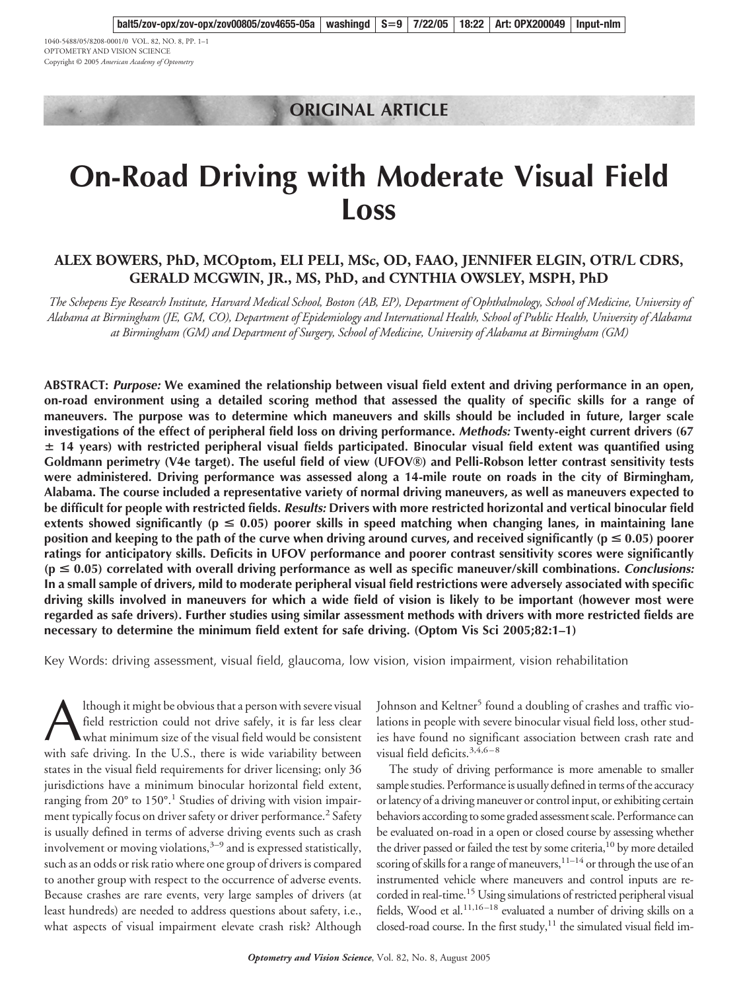1040-5488/05/8208-0001/0 VOL. 82, NO. 8, PP. 1–1 OPTOMETRY AND VISION SCIENCE Copyright © 2005 *American Academy of Optometry*

### **ORIGINAL ARTICLE**

# **On-Road Driving with Moderate Visual Field Loss**

### **ALEX BOWERS, PhD, MCOptom, ELI PELI, MSc, OD, FAAO, JENNIFER ELGIN, OTR/L CDRS, GERALD MCGWIN, JR., MS, PhD, and CYNTHIA OWSLEY, MSPH, PhD**

*The Schepens Eye Research Institute, Harvard Medical School, Boston (AB, EP), Department of Ophthalmology, School of Medicine, University of Alabama at Birmingham (JE, GM, CO), Department of Epidemiology and International Health, School of Public Health, University of Alabama at Birmingham (GM) and Department of Surgery, School of Medicine, University of Alabama at Birmingham (GM)*

**ABSTRACT:** *Purpose:* **We examined the relationship between visual field extent and driving performance in an open, on-road environment using a detailed scoring method that assessed the quality of specific skills for a range of maneuvers. The purpose was to determine which maneuvers and skills should be included in future, larger scale investigations of the effect of peripheral field loss on driving performance.** *Methods:* **Twenty-eight current drivers (67 14 years) with restricted peripheral visual fields participated. Binocular visual field extent was quantified using Goldmann perimetry (V4e target). The useful field of view (UFOV®) and Pelli-Robson letter contrast sensitivity tests were administered. Driving performance was assessed along a 14-mile route on roads in the city of Birmingham, Alabama. The course included a representative variety of normal driving maneuvers, as well as maneuvers expected to be difficult for people with restricted fields.** *Results:* **Drivers with more restricted horizontal and vertical binocular field** extents showed significantly ( $p \le 0.05$ ) poorer skills in speed matching when changing lanes, in maintaining lane **position and keeping to the path of the curve when driving around curves, and received significantly (** $p \le 0.05$ **) poorer ratings for anticipatory skills. Deficits in UFOV performance and poorer contrast sensitivity scores were significantly (p** < **0.05) correlated with overall driving performance as well as specific maneuver/skill combinations.** *Conclusions:* **In a small sample of drivers, mild to moderate peripheral visual field restrictions were adversely associated with specific driving skills involved in maneuvers for which a wide field of vision is likely to be important (however most were regarded as safe drivers). Further studies using similar assessment methods with drivers with more restricted fields are necessary to determine the minimum field extent for safe driving. (Optom Vis Sci 2005;82:1–1)**

Key Words: driving assessment, visual field, glaucoma, low vision, vision impairment, vision rehabilitation

Ithough it might be obvious that a person with severe visual field restriction could not drive safely, it is far less clear what minimum size of the visual field would be consistent with safe driving. In the U.S., there is wide variability between states in the visual field requirements for driver licensing; only 36 jurisdictions have a minimum binocular horizontal field extent, ranging from 20° to 150°.<sup>1</sup> Studies of driving with vision impairment typically focus on driver safety or driver performance.<sup>2</sup> Safety is usually defined in terms of adverse driving events such as crash involvement or moving violations,  $3-9$  and is expressed statistically, such as an odds or risk ratio where one group of drivers is compared to another group with respect to the occurrence of adverse events. Because crashes are rare events, very large samples of drivers (at least hundreds) are needed to address questions about safety, i.e., what aspects of visual impairment elevate crash risk? Although

Johnson and Keltner<sup>5</sup> found a doubling of crashes and traffic violations in people with severe binocular visual field loss, other studies have found no significant association between crash rate and visual field deficits. $3,4,6-8$ 

The study of driving performance is more amenable to smaller sample studies. Performance is usually defined in terms of the accuracy or latency of a driving maneuver or control input, or exhibiting certain behaviors according to some graded assessment scale. Performance can be evaluated on-road in a open or closed course by assessing whether the driver passed or failed the test by some criteria,<sup>10</sup> by more detailed scoring of skills for a range of maneuvers,  $11-14$  or through the use of an instrumented vehicle where maneuvers and control inputs are recorded in real-time.<sup>15</sup> Using simulations of restricted peripheral visual fields, Wood et al.<sup>11,16-18</sup> evaluated a number of driving skills on a closed-road course. In the first study, $11$  the simulated visual field im-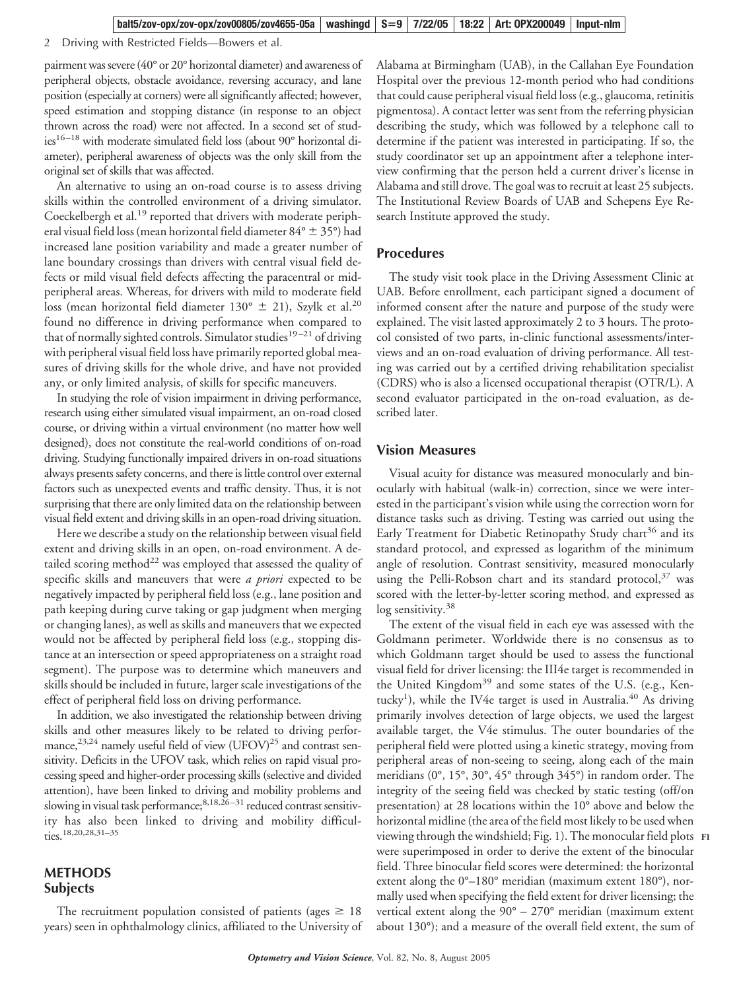| balt5/zov-opx/zov-opx/zov00805/zov4655-05a   washingd   S=9   7/22/05   18:22   Art: 0PX200049   Input-nlm |  |  |  |  |  |  |
|------------------------------------------------------------------------------------------------------------|--|--|--|--|--|--|
|------------------------------------------------------------------------------------------------------------|--|--|--|--|--|--|

2 Driving with Restricted Fields—Bowers et al.

pairment was severe (40° or 20° horizontal diameter) and awareness of peripheral objects, obstacle avoidance, reversing accuracy, and lane position (especially at corners) were all significantly affected; however, speed estimation and stopping distance (in response to an object thrown across the road) were not affected. In a second set of studies<sup>16-18</sup> with moderate simulated field loss (about 90° horizontal diameter), peripheral awareness of objects was the only skill from the original set of skills that was affected.

An alternative to using an on-road course is to assess driving skills within the controlled environment of a driving simulator. Coeckelbergh et al.<sup>19</sup> reported that drivers with moderate peripheral visual field loss (mean horizontal field diameter  $84^{\circ} \pm 35^{\circ}$ ) had increased lane position variability and made a greater number of lane boundary crossings than drivers with central visual field defects or mild visual field defects affecting the paracentral or midperipheral areas. Whereas, for drivers with mild to moderate field loss (mean horizontal field diameter  $130^{\circ} \pm 21$ ), Szylk et al.<sup>20</sup> found no difference in driving performance when compared to that of normally sighted controls. Simulator studies<sup>19-21</sup> of driving with peripheral visual field loss have primarily reported global measures of driving skills for the whole drive, and have not provided any, or only limited analysis, of skills for specific maneuvers.

In studying the role of vision impairment in driving performance, research using either simulated visual impairment, an on-road closed course, or driving within a virtual environment (no matter how well designed), does not constitute the real-world conditions of on-road driving. Studying functionally impaired drivers in on-road situations always presents safety concerns, and there is little control over external factors such as unexpected events and traffic density. Thus, it is not surprising that there are only limited data on the relationship between visual field extent and driving skills in an open-road driving situation.

Here we describe a study on the relationship between visual field extent and driving skills in an open, on-road environment. A detailed scoring method<sup>22</sup> was employed that assessed the quality of specific skills and maneuvers that were *a priori* expected to be negatively impacted by peripheral field loss (e.g., lane position and path keeping during curve taking or gap judgment when merging or changing lanes), as well as skills and maneuvers that we expected would not be affected by peripheral field loss (e.g., stopping distance at an intersection or speed appropriateness on a straight road segment). The purpose was to determine which maneuvers and skills should be included in future, larger scale investigations of the effect of peripheral field loss on driving performance.

In addition, we also investigated the relationship between driving skills and other measures likely to be related to driving performance,  $23,24$  namely useful field of view (UFOV) $25$  and contrast sensitivity. Deficits in the UFOV task, which relies on rapid visual processing speed and higher-order processing skills (selective and divided attention), have been linked to driving and mobility problems and slowing in visual task performance; $8,18,26-31$  reduced contrast sensitivity has also been linked to driving and mobility difficulties.18,20,28,31–35

#### **METHODS Subjects**

The recruitment population consisted of patients (ages  $\geq 18$ years) seen in ophthalmology clinics, affiliated to the University of Alabama at Birmingham (UAB), in the Callahan Eye Foundation Hospital over the previous 12-month period who had conditions that could cause peripheral visual field loss (e.g., glaucoma, retinitis pigmentosa). A contact letter was sent from the referring physician describing the study, which was followed by a telephone call to determine if the patient was interested in participating. If so, the study coordinator set up an appointment after a telephone interview confirming that the person held a current driver's license in Alabama and still drove. The goal was to recruit at least 25 subjects. The Institutional Review Boards of UAB and Schepens Eye Research Institute approved the study.

#### **Procedures**

The study visit took place in the Driving Assessment Clinic at UAB. Before enrollment, each participant signed a document of informed consent after the nature and purpose of the study were explained. The visit lasted approximately 2 to 3 hours. The protocol consisted of two parts, in-clinic functional assessments/interviews and an on-road evaluation of driving performance. All testing was carried out by a certified driving rehabilitation specialist (CDRS) who is also a licensed occupational therapist (OTR/L). A second evaluator participated in the on-road evaluation, as described later.

#### **Vision Measures**

Visual acuity for distance was measured monocularly and binocularly with habitual (walk-in) correction, since we were interested in the participant's vision while using the correction worn for distance tasks such as driving. Testing was carried out using the Early Treatment for Diabetic Retinopathy Study chart<sup>36</sup> and its standard protocol, and expressed as logarithm of the minimum angle of resolution. Contrast sensitivity, measured monocularly using the Pelli-Robson chart and its standard protocol, $37$  was scored with the letter-by-letter scoring method, and expressed as log sensitivity.<sup>38</sup>

The extent of the visual field in each eye was assessed with the Goldmann perimeter. Worldwide there is no consensus as to which Goldmann target should be used to assess the functional visual field for driver licensing: the III4e target is recommended in the United Kingdom<sup>39</sup> and some states of the U.S. (e.g., Kentucky<sup>1</sup>), while the IV4e target is used in Australia.<sup>40</sup> As driving primarily involves detection of large objects, we used the largest available target, the V4e stimulus. The outer boundaries of the peripheral field were plotted using a kinetic strategy, moving from peripheral areas of non-seeing to seeing, along each of the main meridians (0°, 15°, 30°, 45° through 345°) in random order. The integrity of the seeing field was checked by static testing (off/on presentation) at 28 locations within the 10° above and below the horizontal midline (the area of the field most likely to be used when viewing through the windshield; Fig. 1). The monocular field plots **F1**were superimposed in order to derive the extent of the binocular field. Three binocular field scores were determined: the horizontal extent along the 0°–180° meridian (maximum extent 180°), normally used when specifying the field extent for driver licensing; the vertical extent along the 90° – 270° meridian (maximum extent about 130°); and a measure of the overall field extent, the sum of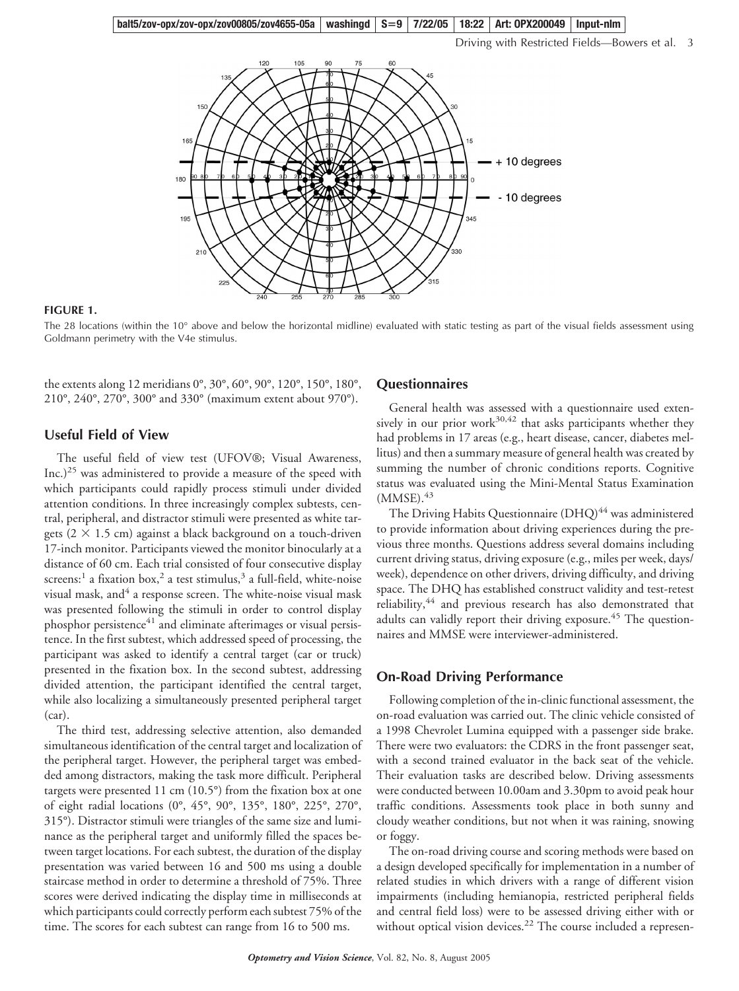

Driving with Restricted Fields—Bowers et al. 3



#### **FIGURE 1.**

The 28 locations (within the 10° above and below the horizontal midline) evaluated with static testing as part of the visual fields assessment using Goldmann perimetry with the V4e stimulus.

the extents along 12 meridians 0°, 30°, 60°, 90°, 120°, 150°, 180°, 210°, 240°, 270°, 300° and 330° (maximum extent about 970°).

#### **Useful Field of View**

The useful field of view test (UFOV®; Visual Awareness, Inc.)<sup>25</sup> was administered to provide a measure of the speed with which participants could rapidly process stimuli under divided attention conditions. In three increasingly complex subtests, central, peripheral, and distractor stimuli were presented as white targets ( $2 \times 1.5$  cm) against a black background on a touch-driven 17-inch monitor. Participants viewed the monitor binocularly at a distance of 60 cm. Each trial consisted of four consecutive display screens:<sup>1</sup> a fixation box,<sup>2</sup> a test stimulus,<sup>3</sup> a full-field, white-noise visual mask, and<sup>4</sup> a response screen. The white-noise visual mask was presented following the stimuli in order to control display phosphor persistence<sup>41</sup> and eliminate afterimages or visual persistence. In the first subtest, which addressed speed of processing, the participant was asked to identify a central target (car or truck) presented in the fixation box. In the second subtest, addressing divided attention, the participant identified the central target, while also localizing a simultaneously presented peripheral target (car).

The third test, addressing selective attention, also demanded simultaneous identification of the central target and localization of the peripheral target. However, the peripheral target was embedded among distractors, making the task more difficult. Peripheral targets were presented 11 cm (10.5°) from the fixation box at one of eight radial locations (0°, 45°, 90°, 135°, 180°, 225°, 270°, 315°). Distractor stimuli were triangles of the same size and luminance as the peripheral target and uniformly filled the spaces between target locations. For each subtest, the duration of the display presentation was varied between 16 and 500 ms using a double staircase method in order to determine a threshold of 75%. Three scores were derived indicating the display time in milliseconds at which participants could correctly perform each subtest 75% of the time. The scores for each subtest can range from 16 to 500 ms.

#### **Questionnaires**

General health was assessed with a questionnaire used extensively in our prior work $30,42$  that asks participants whether they had problems in 17 areas (e.g., heart disease, cancer, diabetes mellitus) and then a summary measure of general health was created by summing the number of chronic conditions reports. Cognitive status was evaluated using the Mini-Mental Status Examination  $(MMSE).<sup>43</sup>$ 

The Driving Habits Questionnaire (DHQ)<sup>44</sup> was administered to provide information about driving experiences during the previous three months. Questions address several domains including current driving status, driving exposure (e.g., miles per week, days/ week), dependence on other drivers, driving difficulty, and driving space. The DHQ has established construct validity and test-retest reliability,<sup>44</sup> and previous research has also demonstrated that adults can validly report their driving exposure.<sup>45</sup> The questionnaires and MMSE were interviewer-administered.

#### **On-Road Driving Performance**

Following completion of the in-clinic functional assessment, the on-road evaluation was carried out. The clinic vehicle consisted of a 1998 Chevrolet Lumina equipped with a passenger side brake. There were two evaluators: the CDRS in the front passenger seat, with a second trained evaluator in the back seat of the vehicle. Their evaluation tasks are described below. Driving assessments were conducted between 10.00am and 3.30pm to avoid peak hour traffic conditions. Assessments took place in both sunny and cloudy weather conditions, but not when it was raining, snowing or foggy.

The on-road driving course and scoring methods were based on a design developed specifically for implementation in a number of related studies in which drivers with a range of different vision impairments (including hemianopia, restricted peripheral fields and central field loss) were to be assessed driving either with or without optical vision devices.<sup>22</sup> The course included a represen-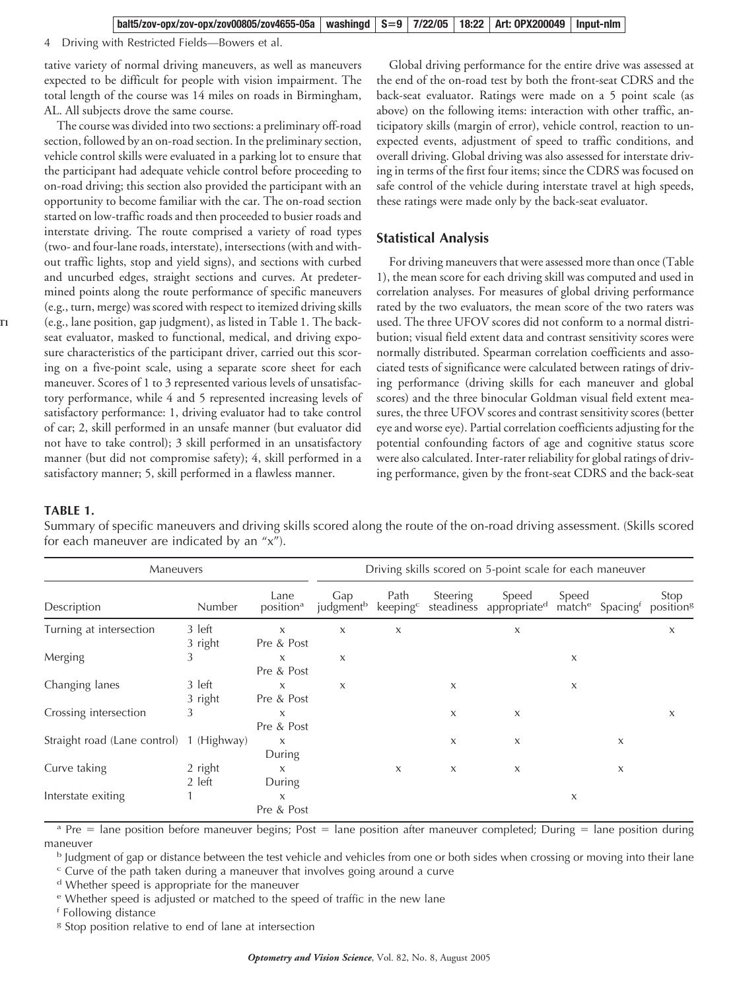| balt5/zov-opx/zov-opx/zov00805/zov4655-05a   washingd   S=9   7/22/05   18:22   Art: 0PX200049   Input-nlm |  |  |  |  |  |  |
|------------------------------------------------------------------------------------------------------------|--|--|--|--|--|--|
|------------------------------------------------------------------------------------------------------------|--|--|--|--|--|--|

4 Driving with Restricted Fields—Bowers et al.

tative variety of normal driving maneuvers, as well as maneuvers expected to be difficult for people with vision impairment. The total length of the course was 14 miles on roads in Birmingham, AL. All subjects drove the same course.

The course was divided into two sections: a preliminary off-road section, followed by an on-road section. In the preliminary section, vehicle control skills were evaluated in a parking lot to ensure that the participant had adequate vehicle control before proceeding to on-road driving; this section also provided the participant with an opportunity to become familiar with the car. The on-road section started on low-traffic roads and then proceeded to busier roads and interstate driving. The route comprised a variety of road types (two- and four-lane roads, interstate), intersections (with and without traffic lights, stop and yield signs), and sections with curbed and uncurbed edges, straight sections and curves. At predetermined points along the route performance of specific maneuvers (e.g., turn, merge) was scored with respect to itemized driving skills (e.g., lane position, gap judgment), as listed in Table 1. The backseat evaluator, masked to functional, medical, and driving exposure characteristics of the participant driver, carried out this scoring on a five-point scale, using a separate score sheet for each maneuver. Scores of 1 to 3 represented various levels of unsatisfactory performance, while 4 and 5 represented increasing levels of satisfactory performance: 1, driving evaluator had to take control of car; 2, skill performed in an unsafe manner (but evaluator did not have to take control); 3 skill performed in an unsatisfactory manner (but did not compromise safety); 4, skill performed in a satisfactory manner; 5, skill performed in a flawless manner.

Global driving performance for the entire drive was assessed at the end of the on-road test by both the front-seat CDRS and the back-seat evaluator. Ratings were made on a 5 point scale (as above) on the following items: interaction with other traffic, anticipatory skills (margin of error), vehicle control, reaction to unexpected events, adjustment of speed to traffic conditions, and overall driving. Global driving was also assessed for interstate driving in terms of the first four items; since the CDRS was focused on safe control of the vehicle during interstate travel at high speeds, these ratings were made only by the back-seat evaluator.

#### **Statistical Analysis**

For driving maneuvers that were assessed more than once (Table 1), the mean score for each driving skill was computed and used in correlation analyses. For measures of global driving performance rated by the two evaluators, the mean score of the two raters was used. The three UFOV scores did not conform to a normal distribution; visual field extent data and contrast sensitivity scores were normally distributed. Spearman correlation coefficients and associated tests of significance were calculated between ratings of driving performance (driving skills for each maneuver and global scores) and the three binocular Goldman visual field extent measures, the three UFOV scores and contrast sensitivity scores (better eye and worse eye). Partial correlation coefficients adjusting for the potential confounding factors of age and cognitive status score were also calculated. Inter-rater reliability for global ratings of driving performance, given by the front-seat CDRS and the back-seat

#### **TABLE 1.**

**T1**

Summary of specific maneuvers and driving skills scored along the route of the on-road driving assessment. (Skills scored for each maneuver are indicated by an "x").

| Maneuvers                                |                   |                               |                              |                              |              | Driving skills scored on 5-point scale for each maneuver |                 |                      |                               |
|------------------------------------------|-------------------|-------------------------------|------------------------------|------------------------------|--------------|----------------------------------------------------------|-----------------|----------------------|-------------------------------|
| Description                              | Number            | Lane<br>position <sup>a</sup> | Gap<br>judgment <sup>b</sup> | Path<br>keeping <sup>c</sup> | Steering     | Speed<br>steadiness appropriated                         | Speed<br>matche | Spacing <sup>†</sup> | Stop<br>position <sup>8</sup> |
| Turning at intersection                  | 3 left<br>3 right | X<br>Pre & Post               | $\boldsymbol{\mathsf{X}}$    | $\mathsf{x}$                 |              | X                                                        |                 |                      | X                             |
| Merging                                  | 3                 | X<br>Pre & Post               | $\boldsymbol{\mathsf{X}}$    |                              |              |                                                          | X               |                      |                               |
| Changing lanes                           | 3 left<br>3 right | X<br>Pre & Post               | $\mathsf X$                  |                              | X            |                                                          | X               |                      |                               |
| Crossing intersection                    | 3                 | X<br>Pre & Post               |                              |                              | $\mathsf{X}$ | $\mathsf{X}$                                             |                 |                      | $\boldsymbol{\mathsf{x}}$     |
| Straight road (Lane control) 1 (Highway) |                   | X<br>During                   |                              |                              | X            | X                                                        |                 | X                    |                               |
| Curve taking                             | 2 right<br>2 left | X<br>During                   |                              | $\mathsf{x}$                 | X            | X                                                        |                 | X                    |                               |
| Interstate exiting                       |                   | X<br>Pre & Post               |                              |                              |              |                                                          | X               |                      |                               |

<sup>a</sup> Pre = lane position before maneuver begins; Post = lane position after maneuver completed; During = lane position during maneuver

<sup>b</sup> Judgment of gap or distance between the test vehicle and vehicles from one or both sides when crossing or moving into their lane  $\epsilon$  Curve of the path taken during a maneuver that involves going around a curve

<sup>d</sup> Whether speed is appropriate for the maneuver

<sup>e</sup> Whether speed is adjusted or matched to the speed of traffic in the new lane

<sup>f</sup> Following distance

<sup>g</sup> Stop position relative to end of lane at intersection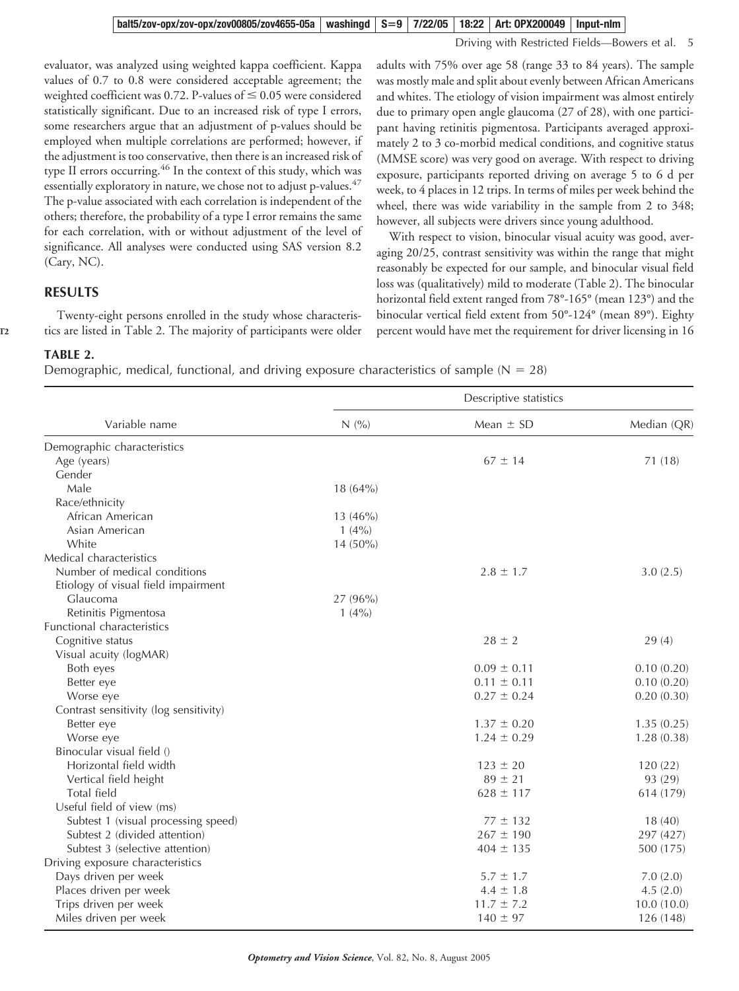| balt5/zov-opx/zov-opx/zov00805/zov4655-05a   washingd   S=9   7/22/05   18:22   Art: 0PX200049   Input-nlm |  |  |  |  |  |  |  |
|------------------------------------------------------------------------------------------------------------|--|--|--|--|--|--|--|
|------------------------------------------------------------------------------------------------------------|--|--|--|--|--|--|--|

Driving with Restricted Fields—Bowers et al. 5

evaluator, was analyzed using weighted kappa coefficient. Kappa values of 0.7 to 0.8 were considered acceptable agreement; the weighted coefficient was 0.72. P-values of  $\leq$  0.05 were considered statistically significant. Due to an increased risk of type I errors, some researchers argue that an adjustment of p-values should be employed when multiple correlations are performed; however, if the adjustment is too conservative, then there is an increased risk of type II errors occurring.<sup>46</sup> In the context of this study, which was essentially exploratory in nature, we chose not to adjust p-values.<sup>47</sup> The p-value associated with each correlation is independent of the others; therefore, the probability of a type I error remains the same for each correlation, with or without adjustment of the level of significance. All analyses were conducted using SAS version 8.2 (Cary, NC).

#### **RESULTS**

Twenty-eight persons enrolled in the study whose characteristics are listed in Table 2. The majority of participants were older adults with 75% over age 58 (range 33 to 84 years). The sample was mostly male and split about evenly between African Americans and whites. The etiology of vision impairment was almost entirely due to primary open angle glaucoma (27 of 28), with one participant having retinitis pigmentosa. Participants averaged approximately 2 to 3 co-morbid medical conditions, and cognitive status (MMSE score) was very good on average. With respect to driving exposure, participants reported driving on average 5 to 6 d per week, to 4 places in 12 trips. In terms of miles per week behind the wheel, there was wide variability in the sample from 2 to 348; however, all subjects were drivers since young adulthood.

With respect to vision, binocular visual acuity was good, averaging 20/25, contrast sensitivity was within the range that might reasonably be expected for our sample, and binocular visual field loss was (qualitatively) mild to moderate (Table 2). The binocular horizontal field extent ranged from 78°-165° (mean 123°) and the binocular vertical field extent from 50°-124° (mean 89°). Eighty percent would have met the requirement for driver licensing in 16

#### **TABLE 2.**

**T2**

Demographic, medical, functional, and driving exposure characteristics of sample ( $N = 28$ )

|                                        |          | Descriptive statistics |             |
|----------------------------------------|----------|------------------------|-------------|
| Variable name                          | N(%)     | Mean $\pm$ SD          | Median (QR) |
| Demographic characteristics            |          |                        |             |
| Age (years)                            |          | $67 \pm 14$            | 71 (18)     |
| Gender                                 |          |                        |             |
| Male                                   | 18 (64%) |                        |             |
| Race/ethnicity                         |          |                        |             |
| African American                       | 13 (46%) |                        |             |
| Asian American                         | $1(4\%)$ |                        |             |
| White                                  | 14 (50%) |                        |             |
| Medical characteristics                |          |                        |             |
| Number of medical conditions           |          | $2.8 \pm 1.7$          | 3.0(2.5)    |
| Etiology of visual field impairment    |          |                        |             |
| Glaucoma                               | 27 (96%) |                        |             |
| Retinitis Pigmentosa                   | $1(4\%)$ |                        |             |
| Functional characteristics             |          |                        |             |
| Cognitive status                       |          | $28 \pm 2$             | 29(4)       |
| Visual acuity (logMAR)                 |          |                        |             |
| Both eyes                              |          | $0.09 \pm 0.11$        | 0.10(0.20)  |
| Better eye                             |          | $0.11 \pm 0.11$        | 0.10(0.20)  |
| Worse eye                              |          | $0.27 \pm 0.24$        | 0.20(0.30)  |
| Contrast sensitivity (log sensitivity) |          |                        |             |
| Better eye                             |          | $1.37 \pm 0.20$        | 1.35(0.25)  |
| Worse eye                              |          | $1.24 \pm 0.29$        | 1.28(0.38)  |
| Binocular visual field ()              |          |                        |             |
| Horizontal field width                 |          | $123 \pm 20$           | 120(22)     |
| Vertical field height                  |          | $89 \pm 21$            | 93 (29)     |
| Total field                            |          | $628 \pm 117$          | 614 (179)   |
| Useful field of view (ms)              |          |                        |             |
| Subtest 1 (visual processing speed)    |          | $77 \pm 132$           | 18(40)      |
| Subtest 2 (divided attention)          |          | $267 \pm 190$          | 297 (427)   |
| Subtest 3 (selective attention)        |          | $404 \pm 135$          | 500 (175)   |
| Driving exposure characteristics       |          |                        |             |
| Days driven per week                   |          | $5.7 \pm 1.7$          | 7.0(2.0)    |
| Places driven per week                 |          | $4.4 \pm 1.8$          | 4.5(2.0)    |
| Trips driven per week                  |          | $11.7 \pm 7.2$         | 10.0(10.0)  |
| Miles driven per week                  |          | $140 \pm 97$           | 126 (148)   |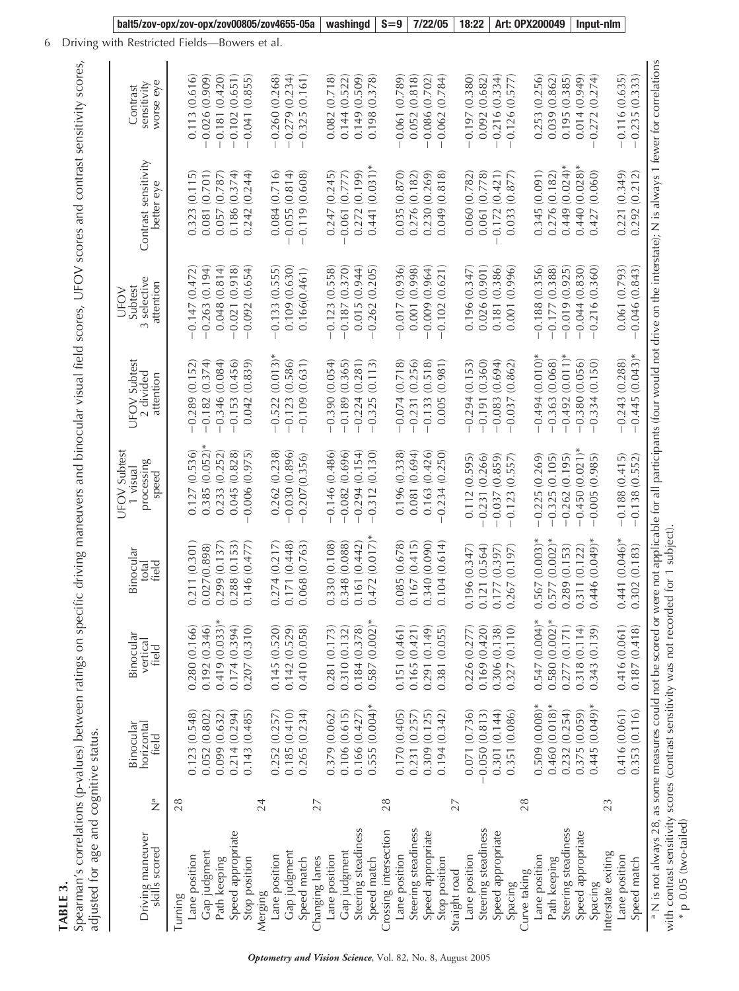| ī      |  |
|--------|--|
| ÿ<br>L |  |
|        |  |
|        |  |
|        |  |
|        |  |

| Driving maneuver<br>skills scored | $\mathring{Z}$ | horizontal<br>Binocular<br>field | Binocular<br>vertical<br>field | Binocula<br>field<br>total                                        | UFOV Subtest<br>processing<br>I visual<br>speed | UFOV Subtest<br>2 divided<br>attention | selective<br>attention<br>Subtest<br><b>DFOY</b><br>S | Contrast sensitivity<br>eye<br>better | worse eye<br>sensitivity<br>Contrast |
|-----------------------------------|----------------|----------------------------------|--------------------------------|-------------------------------------------------------------------|-------------------------------------------------|----------------------------------------|-------------------------------------------------------|---------------------------------------|--------------------------------------|
| Turning                           | 28             |                                  |                                |                                                                   |                                                 |                                        |                                                       |                                       |                                      |
| Lane position                     |                | 0.123(0.548)                     | 0.280(0.166)                   | 0.211(0.301)                                                      | 0.127(0.536)                                    | $-0.289(0.152)$                        | $-0.147(0.472)$                                       | 0.323 (0.115                          | 0.113(0.616)                         |
| Gap judgment                      |                | 0.052 (0.802)                    | 0.192(0.346)                   | 0.027(0.898)                                                      | $0.385(0.052)$ <sup>*</sup>                     | $-0.182(0.374)$                        | $-0.263(0.194)$                                       | 0.081(0.701)                          | $-0.026(0.909)$                      |
| Path keeping                      |                | 0.099(0.632)                     | $0.419(0.033)*$                | 0.299(0.137)                                                      | 0.233(0.252)                                    | $-0.346(0.084)$                        | 0.048(0.814)                                          | 0.057(0.787)                          | $-0.181(0.420)$                      |
| Speed appropriate                 |                | 0.214(0.294)                     | 0.174(0.394)                   | 0.288(0.153)                                                      | 0.045(0.828)                                    | $-0.153(0.456)$                        | 0.021(0.918)                                          | 0.186(0.374)                          | $-0.102(0.651)$                      |
| Stop position<br>Merging          | 24             | 0.143(0.485)                     | 0.207(0.310)                   | 0.146(0.477)                                                      | 0.006(0.975)                                    | 0.042(0.839)                           | $-0.092(0.654)$                                       | 0.242(0.244)                          | 网<br>$-0.041(0.85)$                  |
| Lane position                     |                | 0.252(0.257)                     | 0.145(0.520)                   | 0.274(0.217)                                                      | 0.262(0.238)                                    | $-0.522(0.013)$ *                      | 0.133(0.555)                                          | 0.084(0.716)                          | $-0.260(0.268)$                      |
| Gap judgment                      |                | 0.185(0.410)                     | 0.142(0.529)                   | 71 (0.448)<br>$\overline{C}$                                      | 0.030(0.896)                                    | $-0.123(0.586)$                        | 0.109(0.630)                                          | 0.055(0.814)                          | $-0.279(0.234)$                      |
| Speed match                       |                | 0.265(0.234)                     | 0.410(0.058)                   | 0.068(0.763)                                                      | $-0.207(0.356)$                                 | $-0.109(0.631)$                        | 0.166(0.461)                                          | 0.119(0.608)                          | $-0.325(0.161)$                      |
| Changing lanes                    | 27             |                                  |                                |                                                                   |                                                 |                                        |                                                       |                                       |                                      |
| Lane position                     |                | 0.379(0.062)                     | 0.281(0.173)                   |                                                                   | $-0.146(0.486)$                                 | $-0.390(0.054)$                        | $-0.123(0.558)$                                       | 0.247(0.245)                          | 0.082 (0.718)                        |
| Gap judgment                      |                | 0.106(0.615)                     | 0.310(0.132)                   | $\begin{array}{c} 0.330 \ (0.108) \\ 0.348 \ (0.088) \end{array}$ | 0.082(0.696)                                    | $-0.189(0.365)$                        | 0.187(0.370)                                          | 0.061 (0.777)                         | 0.144(0.522)                         |
| Steering steadiness               |                | 0.166(0.427)                     | 0.184(0.378)                   | 61(0.442)<br>$\overline{C}$                                       | $-0.294(0.154)$                                 | $-0.224(0.281)$                        | 0.015(0.944)                                          | 0.272(0.199)                          | 0.149(0.509)                         |
| Speed match                       |                | $0.555(0.004)$ *                 | $0.587(0.002)$ *               | 0.472(0.017)                                                      | $-0.312(0.130)$                                 | $-0.325(0.113)$                        | (0.205)<br>$-0.262$                                   | $(0.031)^*$<br>0.441                  | 0.198(0.378)                         |
| Crossing intersection             | 28             |                                  |                                |                                                                   |                                                 |                                        |                                                       |                                       |                                      |
| Lane position                     |                | 0.170(0.405)                     | 0.151(0.461)                   | 0.085(0.678)                                                      | 0.196(0.338)                                    | $-0.074(0.718)$                        | (0.936)<br>0.017                                      | (0.870)<br>0.035                      | $-0.061(0.789)$                      |
| Steering steadiness               |                | 0.231(0.257)                     | 0.165(0.421)                   | 67(0.415)<br>$\overline{C}$                                       | 0.081(0.694)                                    | $-0.231(0.256)$                        | 0.001(0.998)                                          | 0.276(0.182)                          | 0.052(0.818)                         |
| Speed appropriate                 |                | 0.309(0.125)                     | 0.291(0.149)                   | 0.340 (0.090)                                                     | 0.163(0.426)                                    | $-0.133(0.518)$                        | 0.009(0.964)                                          | 0.230(0.269)                          | $-0.086(0.702)$                      |
| Stop position                     |                | 0.194(0.342)                     | 0.381 (0.055)                  | 104(0.614)<br>$\overline{0}$ .                                    | $-0.234(0.250)$                                 | (0.981)<br>0.005                       | (0.621)<br>0.102                                      | (0.818)<br>0.049                      | (0.784)<br>$-0.062$                  |
| Straight road                     | 27             |                                  |                                |                                                                   |                                                 |                                        |                                                       |                                       |                                      |
| Lane position                     |                | 0.071 (0.736)                    | 0.226(0.277)                   | 96(0.347)<br>$\overline{0}$ :                                     | 0.112(0.595)                                    | $-0.294(0.153)$                        | 0.196(0.347)                                          | 0.060(0.782)                          | $-0.197(0.380)$                      |
| Steering steadiness               |                | $-0.050(0.813)$<br>0.301 (0.144) | 0.169(0.420)<br>0.306 (0.138)  | 21 (0.564)<br>77 (0.397)<br>$\overline{0}$ .<br>$\overline{0}$ .  | $-0.231(0.266)$<br>$-0.037(0.859)$              | $-0.191(0.360)$<br>$-0.083(0.694)$     | 0.026(0.901)<br>0.181 (0.386)                         | 0.172(0.421)<br>0.061 (0.778)         | 0.092(0.682)<br>$-0.216(0.334)$      |
| Speed appropriate<br>Spacing      |                | 0.351 (0.086)                    | 0.327(0.110)                   | 67 (0.197)<br>0.2                                                 | (0.557)<br>$-0.123$                             | $-0.037(0.862)$                        | 0.001(0.996)                                          | (0.877)<br>0.033                      | $-0.126(0.577)$                      |
| Curve taking                      | 28             |                                  |                                |                                                                   |                                                 |                                        |                                                       |                                       |                                      |
| Lane position                     |                | $0.509(0.008)$ *                 | $0.547(0.004)$ *               |                                                                   | $-0.225(0.269)$                                 | $-0.494(0.010)*$                       | $-0.188(0.356)$                                       | 0.345(0.091)                          | 0.253(0.256)                         |
| Path keeping                      |                | $0.460(0.018)$ *                 | $0.580(0.002)*$                | $0.567(0.003)*$<br>0.577 $(0.002)*$                               | $-0.325(0.105)$                                 | $-0.363(0.068)$                        | $-0.177(0.388)$                                       | 0.276(0.182)                          | 0.039(0.862)                         |
| Steering steadiness               |                | 0.232(0.254)                     | 0.277(0.171)                   | 0.289(0.153)                                                      | $-0.262(0.195)$                                 | $-0.492(0.011)*$                       | $-0.019(0.925)$                                       | $0.449(0.024)$ *                      | 0.195(0.385)                         |
| Speed appropriate                 |                | 0.375 (0.059)                    | 0.318(0.114)                   | 0.311 (0.122)                                                     | $-0.450(0.021)$ *                               | $-0.380(0.056)$                        | $-0.044(0.830)$                                       | $0.440(0.028)$ *                      | 0.014(0.949)                         |
| Spacing                           |                | $0.445(0.049)$ *                 | 0.343(0.139)                   | 0.446 (0.049)                                                     | $-0.005(0.985)$                                 | $-0.334(0.150)$                        | $-0.216(0.360)$                                       | (0.060)<br>0.427                      | $-0.272(0.274)$                      |
| Interstate exiting                | 23             |                                  |                                |                                                                   |                                                 |                                        |                                                       |                                       |                                      |
| Lane position                     |                | 0.416(0.061)                     | 0.416(0.061)                   | $0.441(0.046)*$                                                   | $-0.188(0.415)$                                 | $-0.243(0.288)$                        | 0.061(0.793)                                          | 0.221(0.349)                          | $-0.116(0.635)$                      |
| Speed match                       |                | 0.353(0.116)                     | 0.187(0.418)                   | 0.302(0.183)                                                      | $-0.138(0.552)$                                 | $-0.445(0.043)$ *                      | 0.046(0.843)                                          | (0.212)<br>0.292                      | $-0.235(0.333)$                      |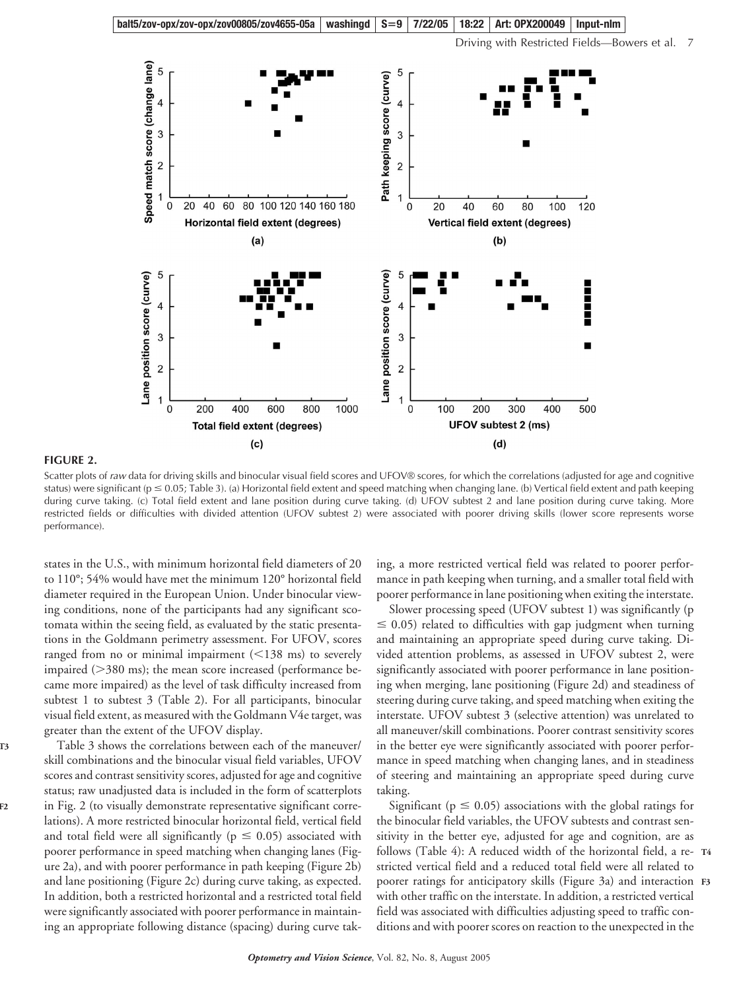

#### **FIGURE 2.**

**T3**

**F2**

Scatter plots of *raw* data for driving skills and binocular visual field scores and UFOV® scores, for which the correlations (adjusted for age and cognitive status) were significant (p ≤ 0.05; Table 3). (a) Horizontal field extent and speed matching when changing lane. (b) Vertical field extent and path keeping during curve taking. (c) Total field extent and lane position during curve taking. (d) UFOV subtest 2 and lane position during curve taking. More restricted fields or difficulties with divided attention (UFOV subtest 2) were associated with poorer driving skills (lower score represents worse performance).

states in the U.S., with minimum horizontal field diameters of 20 to 110°; 54% would have met the minimum 120° horizontal field diameter required in the European Union. Under binocular viewing conditions, none of the participants had any significant scotomata within the seeing field, as evaluated by the static presentations in the Goldmann perimetry assessment. For UFOV, scores ranged from no or minimal impairment  $(<138$  ms) to severely impaired  $(>380 \text{ ms})$ ; the mean score increased (performance became more impaired) as the level of task difficulty increased from subtest 1 to subtest 3 (Table 2). For all participants, binocular visual field extent, as measured with the Goldmann V4e target, was greater than the extent of the UFOV display.

Table 3 shows the correlations between each of the maneuver/ skill combinations and the binocular visual field variables, UFOV scores and contrast sensitivity scores, adjusted for age and cognitive status; raw unadjusted data is included in the form of scatterplots in Fig. 2 (to visually demonstrate representative significant correlations). A more restricted binocular horizontal field, vertical field and total field were all significantly ( $p \le 0.05$ ) associated with poorer performance in speed matching when changing lanes (Figure 2a), and with poorer performance in path keeping (Figure 2b) and lane positioning (Figure 2c) during curve taking, as expected. In addition, both a restricted horizontal and a restricted total field were significantly associated with poorer performance in maintaining an appropriate following distance (spacing) during curve taking, a more restricted vertical field was related to poorer performance in path keeping when turning, and a smaller total field with poorer performance in lane positioning when exiting the interstate.

Slower processing speed (UFOV subtest 1) was significantly (p  $\leq$  0.05) related to difficulties with gap judgment when turning and maintaining an appropriate speed during curve taking. Divided attention problems, as assessed in UFOV subtest 2, were significantly associated with poorer performance in lane positioning when merging, lane positioning (Figure 2d) and steadiness of steering during curve taking, and speed matching when exiting the interstate. UFOV subtest 3 (selective attention) was unrelated to all maneuver/skill combinations. Poorer contrast sensitivity scores in the better eye were significantly associated with poorer performance in speed matching when changing lanes, and in steadiness of steering and maintaining an appropriate speed during curve taking.

Significant ( $p \le 0.05$ ) associations with the global ratings for the binocular field variables, the UFOV subtests and contrast sensitivity in the better eye, adjusted for age and cognition, are as follows (Table 4): A reduced width of the horizontal field, a re-**T4** stricted vertical field and a reduced total field were all related to poorer ratings for anticipatory skills (Figure 3a) and interaction **F3**with other traffic on the interstate. In addition, a restricted vertical field was associated with difficulties adjusting speed to traffic conditions and with poorer scores on reaction to the unexpected in the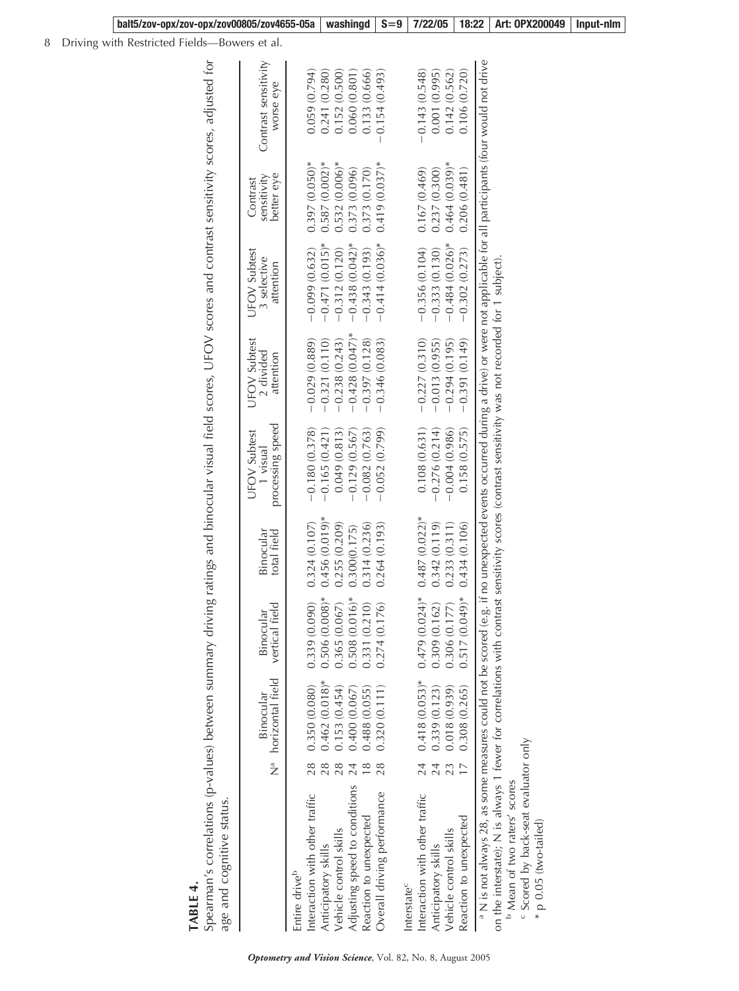| age and cognitive status.                                                                                                                                                                                                                                                                                                                                                                                                                                     |                                  | N <sup>a</sup> horizontal field<br>Binocular                    | ○<br>Binocular<br>vertical tiel                                      | total field<br>Binocular                                        | processing speed<br>UFOV Subtest<br>  visual                       | UFOV Subtest<br>2 divided<br>attention                                   | UFOV Subtest<br>3 selective<br>attention                                   | better eye<br>sensitivity<br>Contrast                            | Contrast sensitivity<br>worse eye                               |
|---------------------------------------------------------------------------------------------------------------------------------------------------------------------------------------------------------------------------------------------------------------------------------------------------------------------------------------------------------------------------------------------------------------------------------------------------------------|----------------------------------|-----------------------------------------------------------------|----------------------------------------------------------------------|-----------------------------------------------------------------|--------------------------------------------------------------------|--------------------------------------------------------------------------|----------------------------------------------------------------------------|------------------------------------------------------------------|-----------------------------------------------------------------|
| Interaction with other traffic<br>Vehicle control skills<br>Anticipatory skills<br>Entire drive <sup>b</sup>                                                                                                                                                                                                                                                                                                                                                  | 28<br>28<br>28                   | $0.462(0.018)*$<br>0.350(0.080)<br>0.153(0.454)                 | $0.506(0.008)$ *<br>0.339(0.090)<br>0.365(0.067)                     | $0.456(0.019)*$<br>0.255 (0.209)<br>0.324(0.107)                | $-0.180(0.378)$<br>$-0.165(0.421)$<br>0.049(0.813)                 | $-0.029(0.889)$<br>$-0.321(0.110)$<br>$-0.238(0.243)$                    | $-0.471(0.015)*$<br>$-0.099(0.632)$<br>$-0.312(0.120)$                     | $0.397(0.050)$ *<br>$0.587(0.002)$ *<br>$0.532(0.006)$ *         | 0.059(0.794)<br>0.241(0.280)<br>0.152(0.500)                    |
| Adjusting speed to conditions<br>Overall driving performance<br>Reaction to unexpected                                                                                                                                                                                                                                                                                                                                                                        | 24<br>$\approx$<br>28            | 0.320(0.111)<br>0.400(0.067)<br>0.488 (0.055)                   | $0.508(0.016)*$<br>0.331 (0.210)<br>0.274(0.176)                     | 0.314(0.236)<br>0.264(0.193)<br>0.300(0.175)                    | $-0.129(0.567)$<br>$-0.082(0.763)$<br>$-0.052(0.799)$              | $-0.428(0.047)$ *<br>$-0.397(0.128)$<br>$-0.346(0.083)$                  | $-0.414(0.036)*$<br>$-0.438(0.042)$ *<br>$-0.343(0.193)$                   | $0.419(0.037)$ *<br>0.373(0.096)<br>0.373 (0.170)                | 0.133(0.666)<br>$-0.154(0.493)$<br>0.060(0.801)                 |
| Interaction with other traffic<br>Reaction to unexpected<br>Vehicle control skills<br>Anticipatory skills<br>Interstate <sup>c</sup>                                                                                                                                                                                                                                                                                                                          | 24<br>24<br>$\overline{1}$<br>23 | $0.418(0.053)*$<br>0.308(0.265)<br>0.018(0.939)<br>0.339(0.123) | $0.479(0.024)$ *<br>$0.517(0.049)$ *<br>0.309(0.162)<br>0.306(0.177) | $0.487(0.022)*$<br>0.233(0.311)<br>0.434(0.106)<br>0.342(0.119) | 0.108(0.631)<br>$-0.004(0.986)$<br>$-0.276(0.214)$<br>0.158(0.575) | $-0.227(0.310)$<br>$-0.391(0.149)$<br>$-0.294(0.195)$<br>$-0.013(0.955)$ | $-0.484(0.026)$ *<br>$-0.356(0.104)$<br>$-0.302(0.273)$<br>$-0.333(0.130)$ | $0.464(0.039)$ *<br>0.167(0.469)<br>0.237(0.300)<br>0.206(0.481) | $-0.143(0.548)$<br>0.106(0.720)<br>0.001(0.995)<br>0.142(0.562) |
| a N is not always 28, as some measures could not be scored (e.g. if no unexpected events occurred during a drive) or were not applicable for all participants (four would not drive<br>on the interstate); N is always 1 fewer for correlations with contrast sensitivity scores (contrast sensitivity was not recorded for 1 subject)<br><sup>c</sup> Scored by back-seat evaluator only<br><sup>b</sup> Mean of two raters' scores<br>* p 0.05 (two-tailed) |                                  |                                                                 |                                                                      |                                                                 |                                                                    |                                                                          |                                                                            |                                                                  |                                                                 |

*Optometry and Vision Science*, Vol. 82, No. 8, August 2005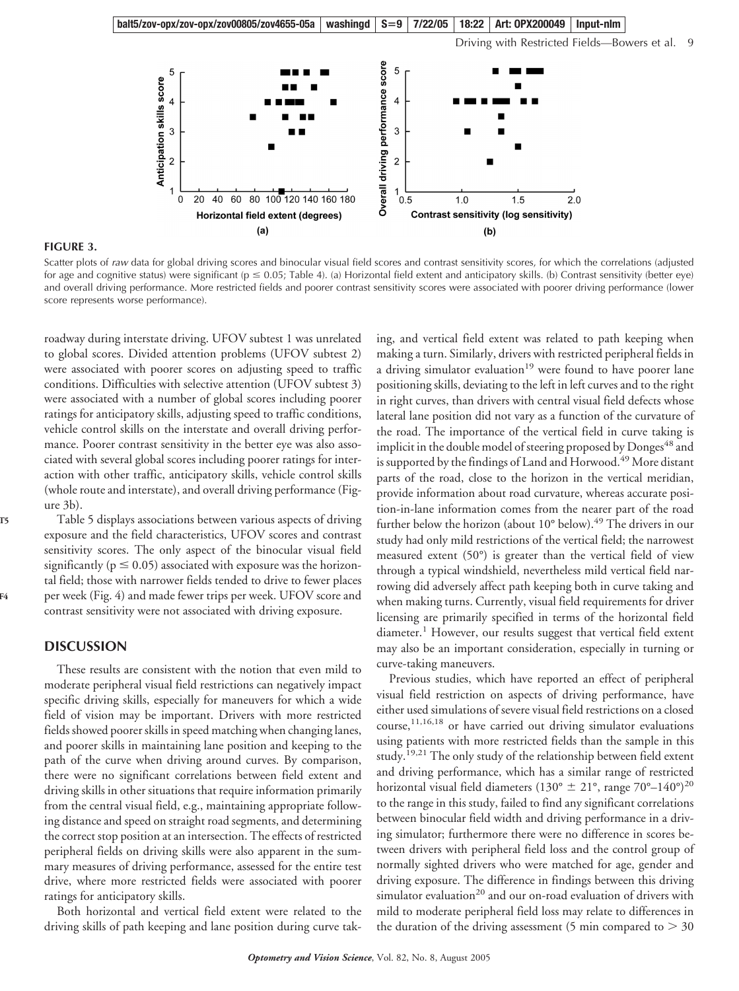Driving with Restricted Fields—Bowers et al. 9



#### **FIGURE 3.**

Scatter plots of raw data for global driving scores and binocular visual field scores and contrast sensitivity scores, for which the correlations (adjusted for age and cognitive status) were significant (p ≤ 0.05; Table 4). (a) Horizontal field extent and anticipatory skills. (b) Contrast sensitivity (better eye) and overall driving performance. More restricted fields and poorer contrast sensitivity scores were associated with poorer driving performance (lower score represents worse performance).

roadway during interstate driving. UFOV subtest 1 was unrelated to global scores. Divided attention problems (UFOV subtest 2) were associated with poorer scores on adjusting speed to traffic conditions. Difficulties with selective attention (UFOV subtest 3) were associated with a number of global scores including poorer ratings for anticipatory skills, adjusting speed to traffic conditions, vehicle control skills on the interstate and overall driving performance. Poorer contrast sensitivity in the better eye was also associated with several global scores including poorer ratings for interaction with other traffic, anticipatory skills, vehicle control skills (whole route and interstate), and overall driving performance (Figure 3b).

Table 5 displays associations between various aspects of driving exposure and the field characteristics, UFOV scores and contrast sensitivity scores. The only aspect of the binocular visual field significantly ( $p \le 0.05$ ) associated with exposure was the horizontal field; those with narrower fields tended to drive to fewer places per week (Fig. 4) and made fewer trips per week. UFOV score and contrast sensitivity were not associated with driving exposure.

#### **DISCUSSION**

**T5**

**F4**

These results are consistent with the notion that even mild to moderate peripheral visual field restrictions can negatively impact specific driving skills, especially for maneuvers for which a wide field of vision may be important. Drivers with more restricted fields showed poorer skills in speed matching when changing lanes, and poorer skills in maintaining lane position and keeping to the path of the curve when driving around curves. By comparison, there were no significant correlations between field extent and driving skills in other situations that require information primarily from the central visual field, e.g., maintaining appropriate following distance and speed on straight road segments, and determining the correct stop position at an intersection. The effects of restricted peripheral fields on driving skills were also apparent in the summary measures of driving performance, assessed for the entire test drive, where more restricted fields were associated with poorer ratings for anticipatory skills.

Both horizontal and vertical field extent were related to the driving skills of path keeping and lane position during curve taking, and vertical field extent was related to path keeping when making a turn. Similarly, drivers with restricted peripheral fields in a driving simulator evaluation<sup>19</sup> were found to have poorer lane positioning skills, deviating to the left in left curves and to the right in right curves, than drivers with central visual field defects whose lateral lane position did not vary as a function of the curvature of the road. The importance of the vertical field in curve taking is implicit in the double model of steering proposed by Donges<sup>48</sup> and is supported by the findings of Land and Horwood.<sup>49</sup> More distant parts of the road, close to the horizon in the vertical meridian, provide information about road curvature, whereas accurate position-in-lane information comes from the nearer part of the road further below the horizon (about 10° below).<sup>49</sup> The drivers in our study had only mild restrictions of the vertical field; the narrowest measured extent (50°) is greater than the vertical field of view through a typical windshield, nevertheless mild vertical field narrowing did adversely affect path keeping both in curve taking and when making turns. Currently, visual field requirements for driver licensing are primarily specified in terms of the horizontal field diameter.<sup>1</sup> However, our results suggest that vertical field extent may also be an important consideration, especially in turning or curve-taking maneuvers.

Previous studies, which have reported an effect of peripheral visual field restriction on aspects of driving performance, have either used simulations of severe visual field restrictions on a closed course,<sup>11,16,18</sup> or have carried out driving simulator evaluations using patients with more restricted fields than the sample in this study.<sup>19,21</sup> The only study of the relationship between field extent and driving performance, which has a similar range of restricted horizontal visual field diameters (130°  $\pm$  21°, range 70°–140°)<sup>20</sup> to the range in this study, failed to find any significant correlations between binocular field width and driving performance in a driving simulator; furthermore there were no difference in scores between drivers with peripheral field loss and the control group of normally sighted drivers who were matched for age, gender and driving exposure. The difference in findings between this driving simulator evaluation<sup>20</sup> and our on-road evaluation of drivers with mild to moderate peripheral field loss may relate to differences in the duration of the driving assessment  $(5 \text{ min compared to} > 30)$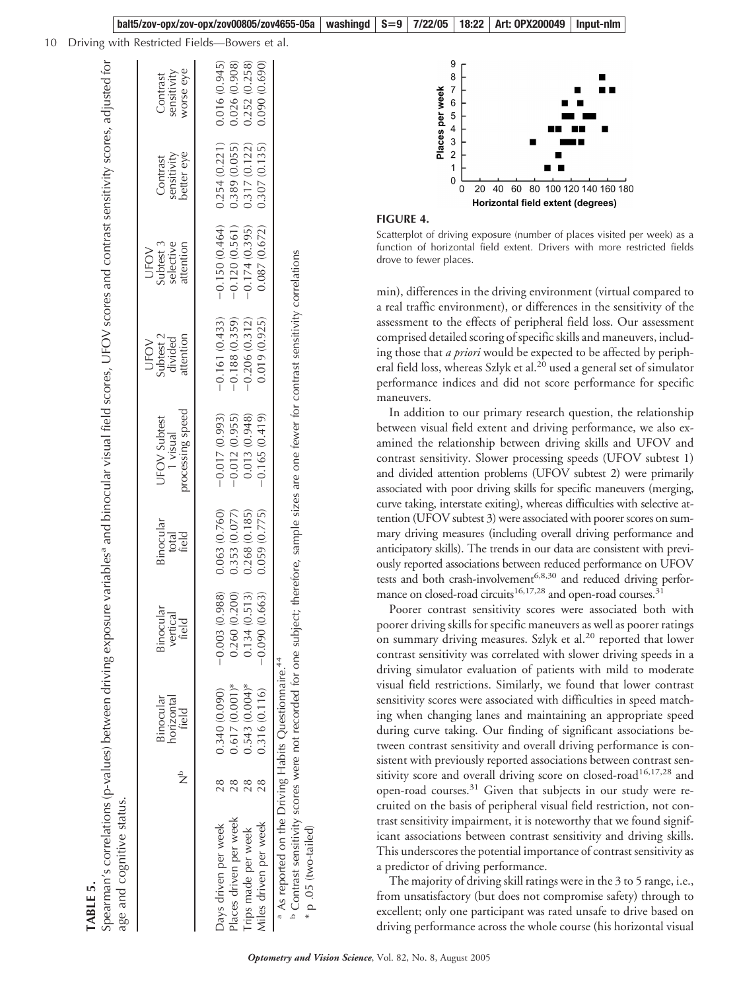| 10 | Driving with                                                                                                      | Restricted                                          | et al.<br>Fields                                                                                                                                                                                                                                                                                                                                                |
|----|-------------------------------------------------------------------------------------------------------------------|-----------------------------------------------------|-----------------------------------------------------------------------------------------------------------------------------------------------------------------------------------------------------------------------------------------------------------------------------------------------------------------------------------------------------------------|
|    |                                                                                                                   | worse eye<br>sensitivity<br>Contrast                | 0.016(0.945)<br>0.026(0.908)<br>0.252 (0.258)<br>0.090(0.690)                                                                                                                                                                                                                                                                                                   |
|    |                                                                                                                   | better eye<br>sensitivity<br>Contrast               | 0.254(0.221)<br>0.389(0.055)<br>0.307(0.135)<br>0.317 (0.122)                                                                                                                                                                                                                                                                                                   |
|    |                                                                                                                   | Subtest 3<br>selective<br>attention<br>UFOV         | $-0.150(0.464)$<br>$-0.120(0.561)$<br>0.087(0.672)<br>$-0.174(0.395)$                                                                                                                                                                                                                                                                                           |
|    |                                                                                                                   | Subtest 2<br>divided<br>attention<br>UFOV           | $-0.161(0.433)$<br>0.019(0.925)<br>$-0.188(0.359)$<br>$-0.206(0.312)$                                                                                                                                                                                                                                                                                           |
|    | variables $^{\rm a}$ and binocular visual field scores, UFOV scores and contrast sensitivity scores, adjusted for | processing speed<br><b>UFOV</b> Subtest<br>1 visual | $-0.017(0.993)$<br>$-0.165(0.419)$<br>$-0.012(0.955)$<br>0.013(0.948)                                                                                                                                                                                                                                                                                           |
|    |                                                                                                                   | Binocular<br>total<br>field                         | 0.063(0.760)<br>0.268(0.185)<br>0.059(0.775)<br>0.353(0.077)                                                                                                                                                                                                                                                                                                    |
|    |                                                                                                                   | Binocular<br>vertical<br>field                      | $-0.003(0.988)$<br>0.260 (0.200)<br>0.134(0.513)<br>$-0.090(0.663)$                                                                                                                                                                                                                                                                                             |
|    |                                                                                                                   | Binocular<br>horizontal<br>field                    | $0.617(0.001)*$<br>$0.543(0.004)$ *<br>0.340 (0.090)<br>0.316(0.116)                                                                                                                                                                                                                                                                                            |
|    |                                                                                                                   | $\frac{1}{2}$                                       | 28<br>28<br>28<br>28                                                                                                                                                                                                                                                                                                                                            |
|    | Spearman's correlations (p-values) between driving exposure<br>age and cognitive status.<br>TABLE 5.              |                                                     | <sup>b</sup> Contrast sensitivity scores were not recorded for one subject; therefore, sample sizes are one fewer for contrast sensitivity correlations<br><sup>a</sup> As reported on the Driving Habits Questionnaire. <sup>44</sup><br>Places driven per week<br>Miles driven per week<br>Days driven per week<br>* p.05 (two-tailed)<br>Trips made per week |

**balt5/zov-opx/zov-opx/zov00805/zov4655-05a** washingd S=9



**9 7/22/05 18:22 Art: OPX200049 Input-nlm**

#### **FIGURE 4.**

Scatterplot of driving exposure (number of places visited per week) as a function of horizontal field extent. Drivers with more restricted fields drove to fewer places.

min), differences in the driving environment (virtual compared to a real traffic environment), or differences in the sensitivity of the assessment to the effects of peripheral field loss. Our assessment comprised detailed scoring of specific skills and maneuvers, including those that *a priori* would be expected to be affected by peripheral field loss, whereas Szlyk et al.<sup>20</sup> used a general set of simulator performance indices and did not score performance for specific maneuvers.

In addition to our primary research question, the relationship between visual field extent and driving performance, we also examined the relationship between driving skills and UFOV and contrast sensitivity. Slower processing speeds (UFOV subtest 1) and divided attention problems (UFOV subtest 2) were primarily associated with poor driving skills for specific maneuvers (merging, curve taking, interstate exiting), whereas difficulties with selective attention (UFOV subtest 3) were associated with poorer scores on summary driving measures (including overall driving performance and anticipatory skills). The trends in our data are consistent with previously reported associations between reduced performance on UFOV tests and both crash-involvement $6,8,30$  and reduced driving performance on closed-road circuits<sup>16,17,28</sup> and open-road courses.<sup>31</sup>

Poorer contrast sensitivity scores were associated both with poorer driving skills for specific maneuvers as well as poorer ratings on summary driving measures. Szlyk et al.<sup>20</sup> reported that lower contrast sensitivity was correlated with slower driving speeds in a driving simulator evaluation of patients with mild to moderate visual field restrictions. Similarly, we found that lower contrast sensitivity scores were associated with difficulties in speed matching when changing lanes and maintaining an appropriate speed during curve taking. Our finding of significant associations between contrast sensitivity and overall driving performance is consistent with previously reported associations between contrast sensitivity score and overall driving score on closed-road<sup>16,17,28</sup> and open-road courses.<sup>31</sup> Given that subjects in our study were recruited on the basis of peripheral visual field restriction, not contrast sensitivity impairment, it is noteworthy that we found significant associations between contrast sensitivity and driving skills. This underscores the potential importance of contrast sensitivity as a predictor of driving performance.

The majority of driving skill ratings were in the 3 to 5 range, i.e., from unsatisfactory (but does not compromise safety) through to excellent; only one participant was rated unsafe to drive based on driving performance across the whole course (his horizontal visual

## **TABLE 5.** TABLE 5.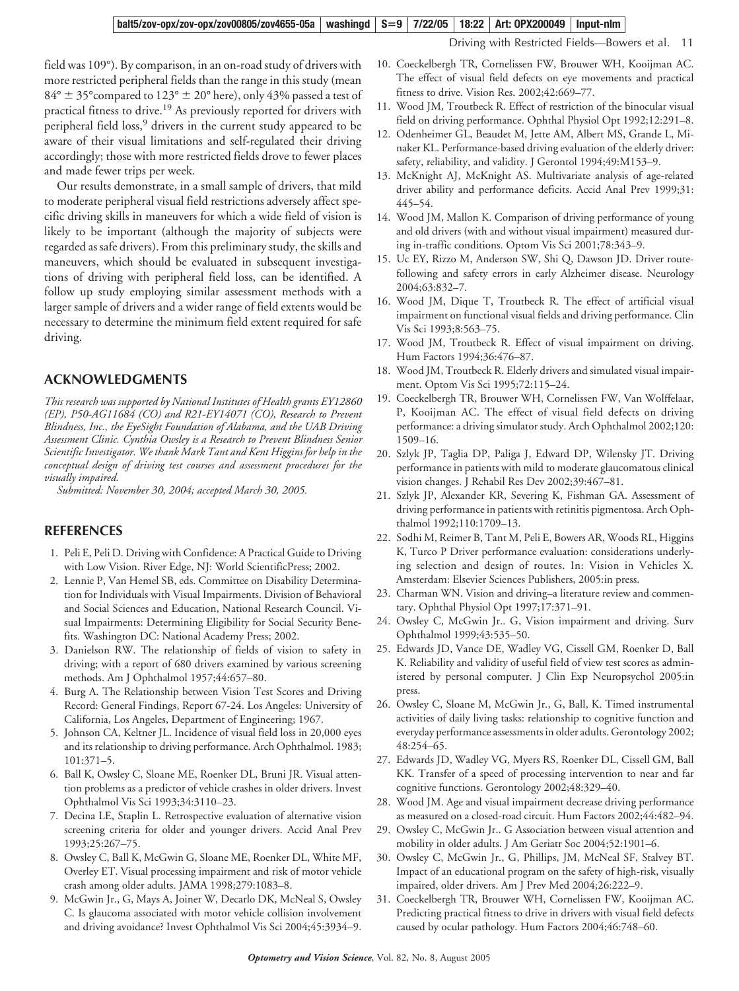#### **balt5/zov-opx/zov-opx/zov00805/zov4655-05a** washingd S=9 **9 7/22/05 18:22 Art: OPX200049 Input-nlm**

Driving with Restricted Fields—Bowers et al. 11

field was 109°). By comparison, in an on-road study of drivers with more restricted peripheral fields than the range in this study (mean  $84^\circ \pm 35^\circ$ compared to  $123^\circ \pm 20^\circ$  here), only  $43\%$  passed a test of practical fitness to drive.<sup>19</sup> As previously reported for drivers with peripheral field loss,<sup>9</sup> drivers in the current study appeared to be aware of their visual limitations and self-regulated their driving accordingly; those with more restricted fields drove to fewer places and made fewer trips per week.

Our results demonstrate, in a small sample of drivers, that mild to moderate peripheral visual field restrictions adversely affect specific driving skills in maneuvers for which a wide field of vision is likely to be important (although the majority of subjects were regarded as safe drivers). From this preliminary study, the skills and maneuvers, which should be evaluated in subsequent investigations of driving with peripheral field loss, can be identified. A follow up study employing similar assessment methods with a larger sample of drivers and a wider range of field extents would be necessary to determine the minimum field extent required for safe driving.

#### **ACKNOWLEDGMENTS**

*This research was supported by National Institutes of Health grants EY12860 (EP), P50-AG11684 (CO) and R21-EY14071 (CO), Research to Prevent Blindness, Inc., the EyeSight Foundation of Alabama, and the UAB Driving Assessment Clinic. Cynthia Owsley is a Research to Prevent Blindness Senior Scientific Investigator. We thank Mark Tant and Kent Higgins for help in the conceptual design of driving test courses and assessment procedures for the visually impaired.*

*Submitted: November 30, 2004; accepted March 30, 2005.*

#### **REFERENCES**

- 1. Peli E, Peli D. Driving with Confidence: A Practical Guide to Driving with Low Vision. River Edge, NJ: World ScientificPress; 2002.
- 2. Lennie P, Van Hemel SB, eds. Committee on Disability Determination for Individuals with Visual Impairments. Division of Behavioral and Social Sciences and Education, National Research Council. Visual Impairments: Determining Eligibility for Social Security Benefits. Washington DC: National Academy Press; 2002.
- 3. Danielson RW. The relationship of fields of vision to safety in driving; with a report of 680 drivers examined by various screening methods. Am J Ophthalmol 1957;44:657–80.
- 4. Burg A. The Relationship between Vision Test Scores and Driving Record: General Findings, Report 67-24. Los Angeles: University of California, Los Angeles, Department of Engineering; 1967.
- 5. Johnson CA, Keltner JL. Incidence of visual field loss in 20,000 eyes and its relationship to driving performance. Arch Ophthalmol. 1983; 101:371–5.
- 6. Ball K, Owsley C, Sloane ME, Roenker DL, Bruni JR. Visual attention problems as a predictor of vehicle crashes in older drivers. Invest Ophthalmol Vis Sci 1993;34:3110–23.
- 7. Decina LE, Staplin L. Retrospective evaluation of alternative vision screening criteria for older and younger drivers. Accid Anal Prev 1993;25:267–75.
- 8. Owsley C, Ball K, McGwin G, Sloane ME, Roenker DL, White MF, Overley ET. Visual processing impairment and risk of motor vehicle crash among older adults. JAMA 1998;279:1083–8.
- 9. McGwin Jr., G, Mays A, Joiner W, Decarlo DK, McNeal S, Owsley C. Is glaucoma associated with motor vehicle collision involvement and driving avoidance? Invest Ophthalmol Vis Sci 2004;45:3934–9.
- 10. Coeckelbergh TR, Cornelissen FW, Brouwer WH, Kooijman AC. The effect of visual field defects on eye movements and practical fitness to drive. Vision Res. 2002;42:669–77.
- 11. Wood JM, Troutbeck R. Effect of restriction of the binocular visual field on driving performance. Ophthal Physiol Opt 1992;12:291–8.
- 12. Odenheimer GL, Beaudet M, Jette AM, Albert MS, Grande L, Minaker KL. Performance-based driving evaluation of the elderly driver: safety, reliability, and validity. J Gerontol 1994;49:M153-9.
- 13. McKnight AJ, McKnight AS. Multivariate analysis of age-related driver ability and performance deficits. Accid Anal Prev 1999;31: 445–54.
- 14. Wood JM, Mallon K. Comparison of driving performance of young and old drivers (with and without visual impairment) measured during in-traffic conditions. Optom Vis Sci 2001;78:343–9.
- 15. Uc EY, Rizzo M, Anderson SW, Shi Q, Dawson JD. Driver routefollowing and safety errors in early Alzheimer disease. Neurology 2004;63:832–7.
- 16. Wood JM, Dique T, Troutbeck R. The effect of artificial visual impairment on functional visual fields and driving performance. Clin Vis Sci 1993;8:563–75.
- 17. Wood JM, Troutbeck R. Effect of visual impairment on driving. Hum Factors 1994;36:476–87.
- 18. Wood JM, Troutbeck R. Elderly drivers and simulated visual impairment. Optom Vis Sci 1995;72:115–24.
- 19. Coeckelbergh TR, Brouwer WH, Cornelissen FW, Van Wolffelaar, P, Kooijman AC. The effect of visual field defects on driving performance: a driving simulator study. Arch Ophthalmol 2002;120: 1509–16.
- 20. Szlyk JP, Taglia DP, Paliga J, Edward DP, Wilensky JT. Driving performance in patients with mild to moderate glaucomatous clinical vision changes. J Rehabil Res Dev 2002;39:467–81.
- 21. Szlyk JP, Alexander KR, Severing K, Fishman GA. Assessment of driving performance in patients with retinitis pigmentosa. Arch Ophthalmol 1992;110:1709–13.
- 22. Sodhi M, Reimer B, Tant M, Peli E, Bowers AR, Woods RL, Higgins K, Turco P Driver performance evaluation: considerations underlying selection and design of routes. In: Vision in Vehicles X. Amsterdam: Elsevier Sciences Publishers, 2005:in press.
- 23. Charman WN. Vision and driving–a literature review and commentary. Ophthal Physiol Opt 1997;17:371–91.
- 24. Owsley C, McGwin Jr.. G, Vision impairment and driving. Surv Ophthalmol 1999;43:535–50.
- 25. Edwards JD, Vance DE, Wadley VG, Cissell GM, Roenker D, Ball K. Reliability and validity of useful field of view test scores as administered by personal computer. J Clin Exp Neuropsychol 2005:in press.
- 26. Owsley C, Sloane M, McGwin Jr., G, Ball, K. Timed instrumental activities of daily living tasks: relationship to cognitive function and everyday performance assessments in older adults. Gerontology 2002; 48:254–65.
- 27. Edwards JD, Wadley VG, Myers RS, Roenker DL, Cissell GM, Ball KK. Transfer of a speed of processing intervention to near and far cognitive functions. Gerontology 2002;48:329–40.
- 28. Wood JM. Age and visual impairment decrease driving performance as measured on a closed-road circuit. Hum Factors 2002;44:482–94.
- 29. Owsley C, McGwin Jr.. G Association between visual attention and mobility in older adults. J Am Geriatr Soc 2004;52:1901–6.
- 30. Owsley C, McGwin Jr., G, Phillips, JM, McNeal SF, Stalvey BT. Impact of an educational program on the safety of high-risk, visually impaired, older drivers. Am J Prev Med 2004;26:222–9.
- 31. Coeckelbergh TR, Brouwer WH, Cornelissen FW, Kooijman AC. Predicting practical fitness to drive in drivers with visual field defects caused by ocular pathology. Hum Factors 2004;46:748–60.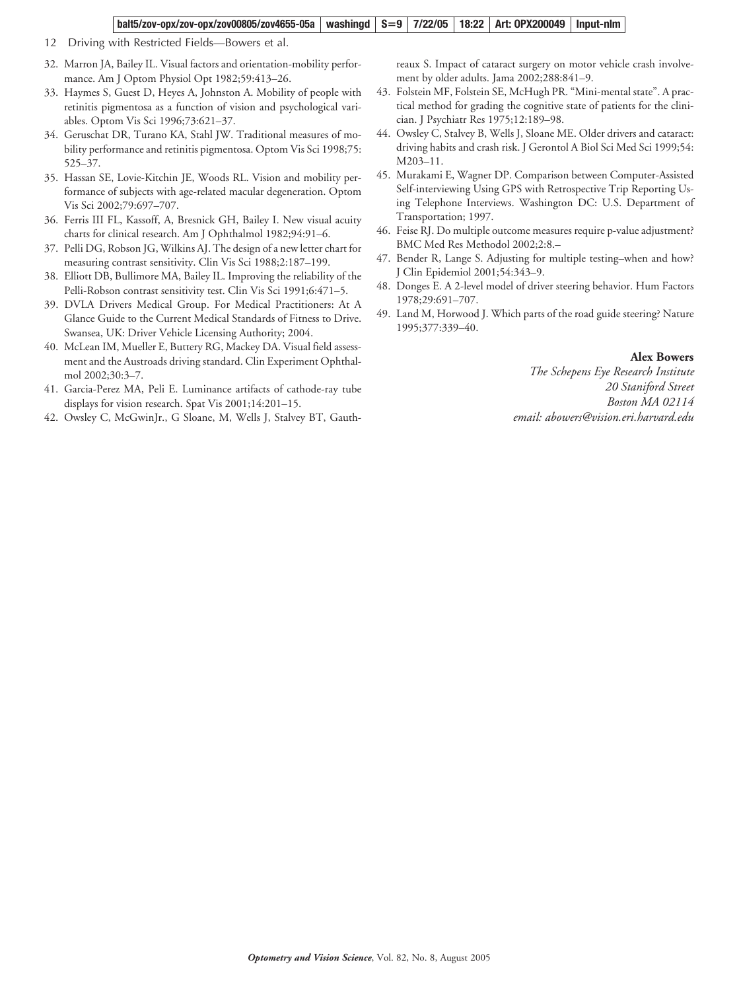#### **balt5/zov-opx/zov-opx/zov00805/zov4655-05a washingd** S=9 **9 7/22/05 18:22 Art: OPX200049 Input-nlm**

- 12 Driving with Restricted Fields—Bowers et al.
- 32. Marron JA, Bailey IL. Visual factors and orientation-mobility performance. Am J Optom Physiol Opt 1982;59:413–26.
- 33. Haymes S, Guest D, Heyes A, Johnston A. Mobility of people with retinitis pigmentosa as a function of vision and psychological variables. Optom Vis Sci 1996;73:621–37.
- 34. Geruschat DR, Turano KA, Stahl JW. Traditional measures of mobility performance and retinitis pigmentosa. Optom Vis Sci 1998;75: 525–37.
- 35. Hassan SE, Lovie-Kitchin JE, Woods RL. Vision and mobility performance of subjects with age-related macular degeneration. Optom Vis Sci 2002;79:697–707.
- 36. Ferris III FL, Kassoff, A, Bresnick GH, Bailey I. New visual acuity charts for clinical research. Am J Ophthalmol 1982;94:91–6.
- 37. Pelli DG, Robson JG, Wilkins AJ. The design of a new letter chart for measuring contrast sensitivity. Clin Vis Sci 1988;2:187–199.
- 38. Elliott DB, Bullimore MA, Bailey IL. Improving the reliability of the Pelli-Robson contrast sensitivity test. Clin Vis Sci 1991;6:471–5.
- 39. DVLA Drivers Medical Group. For Medical Practitioners: At A Glance Guide to the Current Medical Standards of Fitness to Drive. Swansea, UK: Driver Vehicle Licensing Authority; 2004.
- 40. McLean IM, Mueller E, Buttery RG, Mackey DA. Visual field assessment and the Austroads driving standard. Clin Experiment Ophthalmol 2002;30:3–7.
- 41. Garcia-Perez MA, Peli E. Luminance artifacts of cathode-ray tube displays for vision research. Spat Vis 2001;14:201–15.
- 42. Owsley C, McGwinJr., G Sloane, M, Wells J, Stalvey BT, Gauth-

reaux S. Impact of cataract surgery on motor vehicle crash involvement by older adults. Jama 2002;288:841–9.

- 43. Folstein MF, Folstein SE, McHugh PR. "Mini-mental state". A practical method for grading the cognitive state of patients for the clinician. J Psychiatr Res 1975;12:189–98.
- 44. Owsley C, Stalvey B, Wells J, Sloane ME. Older drivers and cataract: driving habits and crash risk. J Gerontol A Biol Sci Med Sci 1999;54: M203–11.
- 45. Murakami E, Wagner DP. Comparison between Computer-Assisted Self-interviewing Using GPS with Retrospective Trip Reporting Using Telephone Interviews. Washington DC: U.S. Department of Transportation; 1997.
- 46. Feise RJ. Do multiple outcome measures require p-value adjustment? BMC Med Res Methodol 2002;2:8.–
- 47. Bender R, Lange S. Adjusting for multiple testing–when and how? J Clin Epidemiol 2001;54:343–9.
- 48. Donges E. A 2-level model of driver steering behavior. Hum Factors 1978;29:691–707.
- 49. Land M, Horwood J. Which parts of the road guide steering? Nature 1995;377:339–40.

#### **Alex Bowers**

*The Schepens Eye Research Institute 20 Staniford Street Boston MA 02114 email: abowers@vision.eri.harvard.edu*